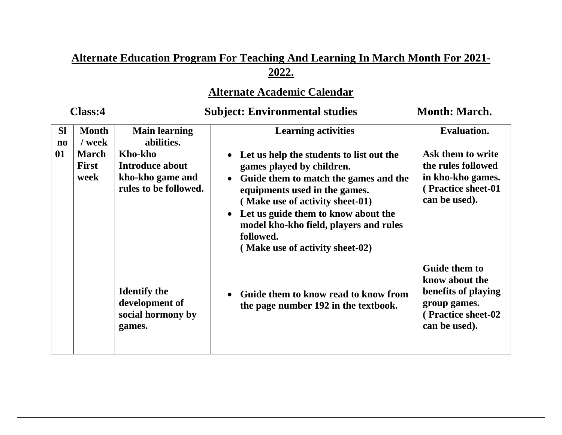# **Alternate Education Program For Teaching And Learning In March Month For 2021- 2022.**

# **Alternate Academic Calendar**

# Class:4 Subject: Environmental studies Month: March.

| <b>SI</b>              | <b>Month</b>                         | <b>Main learning</b>                                                    | <b>Learning activities</b>                                                                                                                                                                                                                                                                                          | <b>Evaluation.</b>                                                                                            |
|------------------------|--------------------------------------|-------------------------------------------------------------------------|---------------------------------------------------------------------------------------------------------------------------------------------------------------------------------------------------------------------------------------------------------------------------------------------------------------------|---------------------------------------------------------------------------------------------------------------|
| $\mathbf{n}\mathbf{o}$ | / week                               | abilities.                                                              |                                                                                                                                                                                                                                                                                                                     |                                                                                                               |
| 01                     | <b>March</b><br><b>First</b><br>week | Kho-kho<br>Introduce about<br>kho-kho game and<br>rules to be followed. | Let us help the students to list out the<br>games played by children.<br>Guide them to match the games and the<br>equipments used in the games.<br>(Make use of activity sheet-01)<br>Let us guide them to know about the<br>model kho-kho field, players and rules<br>followed.<br>(Make use of activity sheet-02) |                                                                                                               |
|                        |                                      | <b>Identify the</b><br>development of<br>social hormony by<br>games.    | Guide them to know read to know from<br>the page number 192 in the textbook.                                                                                                                                                                                                                                        | Guide them to<br>know about the<br>benefits of playing<br>group games.<br>(Practice sheet-02<br>can be used). |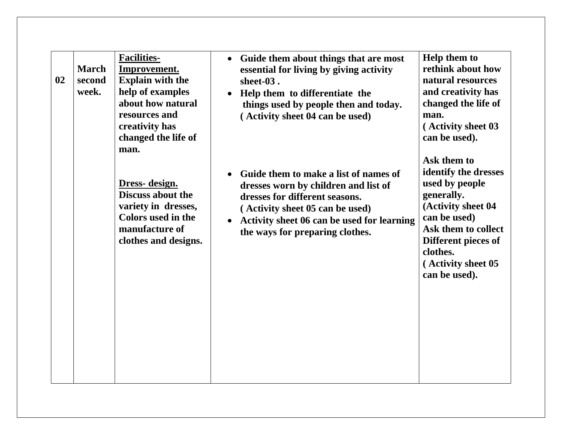| 02 | <b>March</b><br>second<br>week. | <b>Facilities-</b><br>Improvement.<br><b>Explain with the</b><br>help of examples<br>about how natural<br>resources and<br>creativity has<br>changed the life of<br>man. | Guide them about things that are most<br>$\bullet$<br>essential for living by giving activity<br>sheet-03.<br>Help them to differentiate the<br>things used by people then and today.<br>(Activity sheet 04 can be used)            | <b>Help them to</b><br>rethink about how<br>natural resources<br>and creativity has<br>changed the life of<br>man.<br>(Activity sheet 03<br>can be used).                                                   |
|----|---------------------------------|--------------------------------------------------------------------------------------------------------------------------------------------------------------------------|-------------------------------------------------------------------------------------------------------------------------------------------------------------------------------------------------------------------------------------|-------------------------------------------------------------------------------------------------------------------------------------------------------------------------------------------------------------|
|    |                                 | Dress- design.<br>Discuss about the<br>variety in dresses,<br><b>Colors</b> used in the<br>manufacture of<br>clothes and designs.                                        | Guide them to make a list of names of<br>dresses worn by children and list of<br>dresses for different seasons.<br>(Activity sheet 05 can be used)<br>Activity sheet 06 can be used for learning<br>the ways for preparing clothes. | Ask them to<br>identify the dresses<br>used by people<br>generally.<br>(Activity sheet 04<br>can be used)<br>Ask them to collect<br>Different pieces of<br>clothes.<br>(Activity sheet 05)<br>can be used). |
|    |                                 |                                                                                                                                                                          |                                                                                                                                                                                                                                     |                                                                                                                                                                                                             |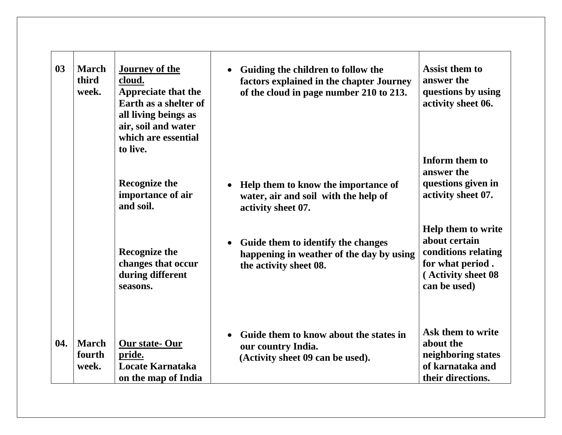| 03  | <b>March</b><br>third<br>week.  | <b>Journey of the</b><br>cloud.<br><b>Appreciate that the</b><br>Earth as a shelter of<br>all living beings as<br>air, soil and water<br>which are essential<br>to live. | Guiding the children to follow the<br>factors explained in the chapter Journey<br>of the cloud in page number 210 to 213. | <b>Assist them to</b><br>answer the<br>questions by using<br>activity sheet 06.                                      |
|-----|---------------------------------|--------------------------------------------------------------------------------------------------------------------------------------------------------------------------|---------------------------------------------------------------------------------------------------------------------------|----------------------------------------------------------------------------------------------------------------------|
|     |                                 | <b>Recognize the</b><br>importance of air<br>and soil.                                                                                                                   | Help them to know the importance of<br>water, air and soil with the help of<br>activity sheet 07.                         | Inform them to<br>answer the<br>questions given in<br>activity sheet 07.                                             |
|     |                                 | <b>Recognize the</b><br>changes that occur<br>during different<br>seasons.                                                                                               | Guide them to identify the changes<br>happening in weather of the day by using<br>the activity sheet 08.                  | Help them to write<br>about certain<br>conditions relating<br>for what period.<br>(Activity sheet 08<br>can be used) |
| 04. | <b>March</b><br>fourth<br>week. | Our state-Our<br>pride.<br>Locate Karnataka<br>on the map of India                                                                                                       | Guide them to know about the states in<br>our country India.<br>(Activity sheet 09 can be used).                          | Ask them to write<br>about the<br>neighboring states<br>of karnataka and<br>their directions.                        |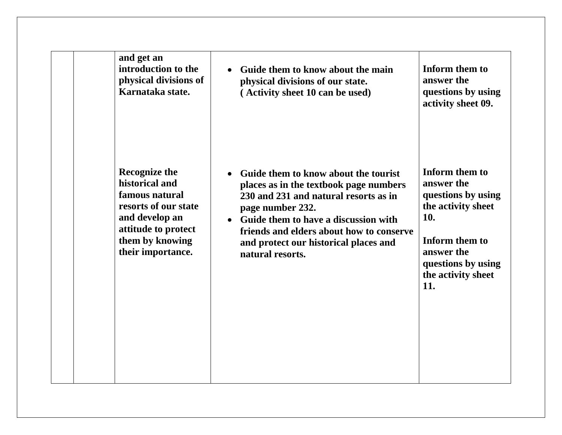| and get an                                                                                                                                                        | Guide them to know about the main                                                                                                                                                                                                                                                                           | Inform them to                                                                                                                                                     |
|-------------------------------------------------------------------------------------------------------------------------------------------------------------------|-------------------------------------------------------------------------------------------------------------------------------------------------------------------------------------------------------------------------------------------------------------------------------------------------------------|--------------------------------------------------------------------------------------------------------------------------------------------------------------------|
| introduction to the                                                                                                                                               | $\bullet$                                                                                                                                                                                                                                                                                                   | answer the                                                                                                                                                         |
| physical divisions of                                                                                                                                             | physical divisions of our state.                                                                                                                                                                                                                                                                            | questions by using                                                                                                                                                 |
| Karnataka state.                                                                                                                                                  | (Activity sheet 10 can be used)                                                                                                                                                                                                                                                                             | activity sheet 09.                                                                                                                                                 |
| <b>Recognize the</b><br>historical and<br>famous natural<br>resorts of our state<br>and develop an<br>attitude to protect<br>them by knowing<br>their importance. | Guide them to know about the tourist<br>$\bullet$<br>places as in the textbook page numbers<br>230 and 231 and natural resorts as in<br>page number 232.<br>• Guide them to have a discussion with<br>friends and elders about how to conserve<br>and protect our historical places and<br>natural resorts. | Inform them to<br>answer the<br>questions by using<br>the activity sheet<br>10.<br>Inform them to<br>answer the<br>questions by using<br>the activity sheet<br>11. |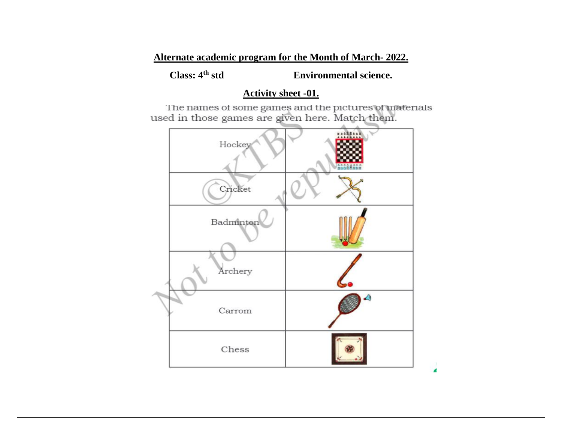**Class: 4th std Environmental science.**

# **Activity sheet -01.**

The names of some games and the pictures of materials used in those games are given here. Match them.

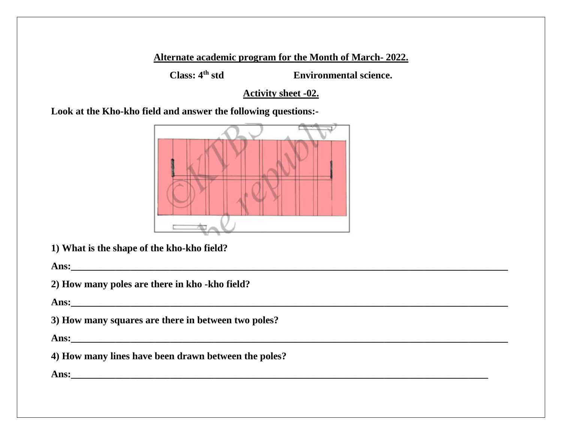**Class: 4th std Environmental science.**

**Activity sheet -02.**

**Look at the Kho-kho field and answer the following questions:-**



**1) What is the shape of the kho-kho field?**

**Ans:\_\_\_\_\_\_\_\_\_\_\_\_\_\_\_\_\_\_\_\_\_\_\_\_\_\_\_\_\_\_\_\_\_\_\_\_\_\_\_\_\_\_\_\_\_\_\_\_\_\_\_\_\_\_\_\_\_\_\_\_\_\_\_\_\_\_\_\_\_\_\_\_\_\_\_\_\_\_\_\_\_\_\_\_\_\_\_\_**

**2) How many poles are there in kho -kho field?**

**Ans:\_\_\_\_\_\_\_\_\_\_\_\_\_\_\_\_\_\_\_\_\_\_\_\_\_\_\_\_\_\_\_\_\_\_\_\_\_\_\_\_\_\_\_\_\_\_\_\_\_\_\_\_\_\_\_\_\_\_\_\_\_\_\_\_\_\_\_\_\_\_\_\_\_\_\_\_\_\_\_\_\_\_\_\_\_\_\_\_**

**3) How many squares are there in between two poles?**

**Ans:** *Ans***:**  *Ans***: <b>***Ans <i>Ans <i>Ans <i>Ans <i>Ans <i>Ans <i>Ans <i>Ans <i>Ans <i>Ans <i>Ans <i>Ans <i>Ans <i>Ans <i>Ans <i>Ans <i>Ans <i>Ans <i>Ans <i>Ans <i>Ans* 

**4) How many lines have been drawn between the poles?**

**Ans:** <u>**a**</u>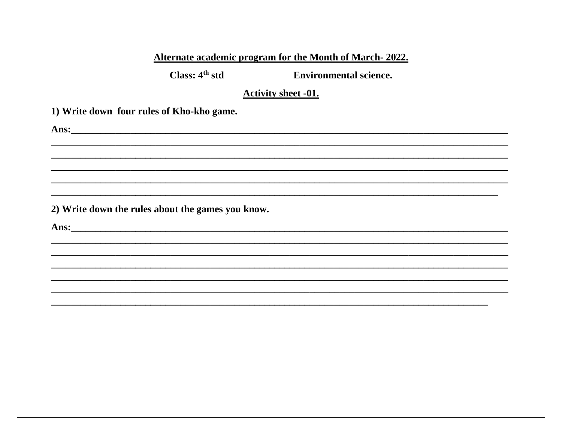Class:  $4<sup>th</sup>$  std

**Environmental science.** 

**Activity sheet -01.** 

1) Write down four rules of Kho-kho game.

2) Write down the rules about the games you know.

Ans: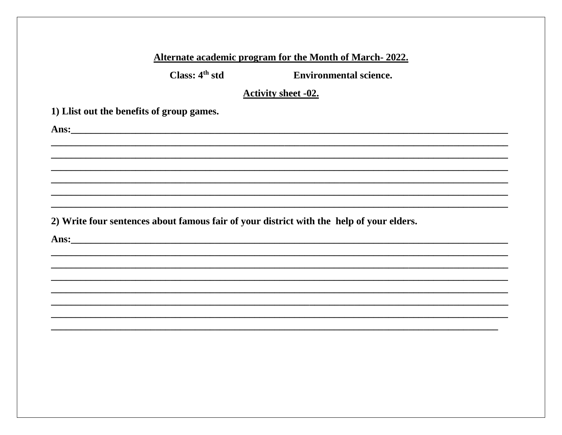| Class: 4 <sup>th</sup> std                                                                                                                                                                                                           | <b>Environmental science.</b>                                                            |
|--------------------------------------------------------------------------------------------------------------------------------------------------------------------------------------------------------------------------------------|------------------------------------------------------------------------------------------|
|                                                                                                                                                                                                                                      | <b>Activity sheet -02.</b>                                                               |
| 1) Llist out the benefits of group games.                                                                                                                                                                                            |                                                                                          |
| Ans: <u>and the community of the community of the community of the community of the community of the community of the community of the community of the community of the community of the community of the community of the comm</u> |                                                                                          |
|                                                                                                                                                                                                                                      |                                                                                          |
|                                                                                                                                                                                                                                      |                                                                                          |
|                                                                                                                                                                                                                                      |                                                                                          |
|                                                                                                                                                                                                                                      |                                                                                          |
|                                                                                                                                                                                                                                      |                                                                                          |
|                                                                                                                                                                                                                                      | 2) Write four sentences about famous fair of your district with the help of your elders. |
|                                                                                                                                                                                                                                      |                                                                                          |
|                                                                                                                                                                                                                                      |                                                                                          |
|                                                                                                                                                                                                                                      |                                                                                          |
|                                                                                                                                                                                                                                      |                                                                                          |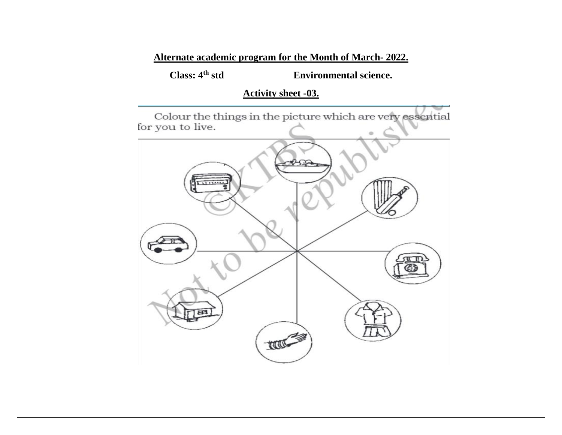**Class: 4th std Environmental science.**

# **Activity sheet -03.**

Colour the things in the picture which are very essential for you to live.

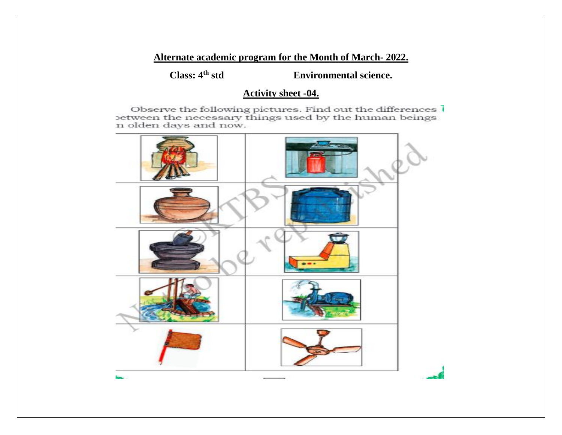**Class: 4th std Environmental science.**

# **Activity sheet -04.**

Observe the following pictures. Find out the differences between the necessary things used by the human beings n olden days and now.

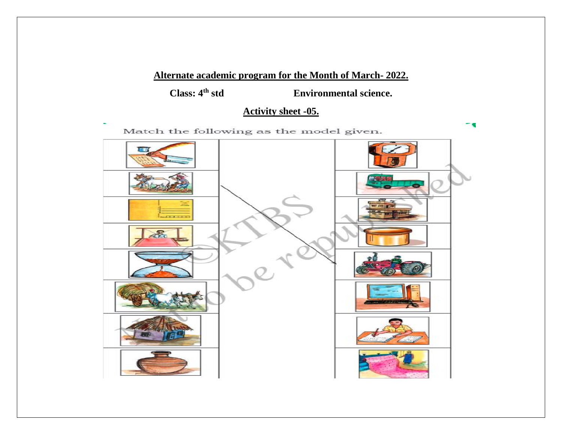**Class: 4th std Environmental science.**

# **Activity sheet -05.**

Match the following as the model given.

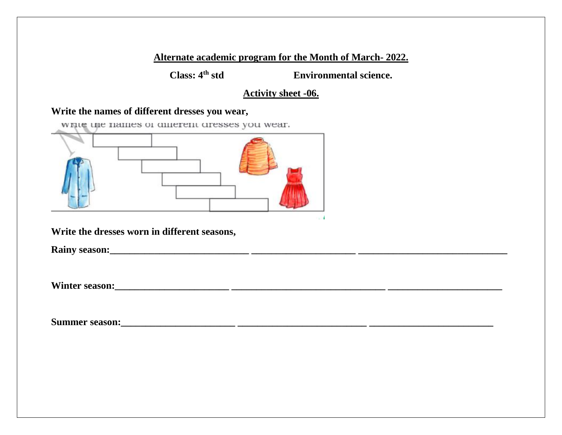**Class: 4th std Environmental science.**

# **Activity sheet -06.**

# **Write the names of different dresses you wear,**

write the names of different dresses you wear.



**Write the dresses worn in different seasons,**

**Rainy season:\_\_\_\_\_\_\_\_\_\_\_\_\_\_\_\_\_\_\_\_\_\_\_\_\_\_\_\_ \_\_\_\_\_\_\_\_\_\_\_\_\_\_\_\_\_\_\_\_\_ \_\_\_\_\_\_\_\_\_\_\_\_\_\_\_\_\_\_\_\_\_\_\_\_\_\_\_\_\_\_**

**Winter season:\_\_\_\_\_\_\_\_\_\_\_\_\_\_\_\_\_\_\_\_\_\_\_ \_\_\_\_\_\_\_\_\_\_\_\_\_\_\_\_\_\_\_\_\_\_\_\_\_\_\_\_\_\_\_ \_\_\_\_\_\_\_\_\_\_\_\_\_\_\_\_\_\_\_\_\_\_\_**

**Summer season:\_\_\_\_\_\_\_\_\_\_\_\_\_\_\_\_\_\_\_\_\_\_\_ \_\_\_\_\_\_\_\_\_\_\_\_\_\_\_\_\_\_\_\_\_\_\_\_\_\_ \_\_\_\_\_\_\_\_\_\_\_\_\_\_\_\_\_\_\_\_\_\_\_\_\_**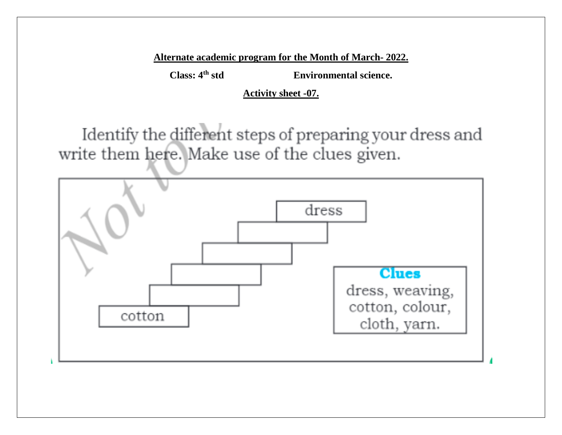**Class: 4th std Environmental science.**

**Activity sheet -07.**

Identify the different steps of preparing your dress and write them here. Make use of the clues given.

![](_page_12_Figure_5.jpeg)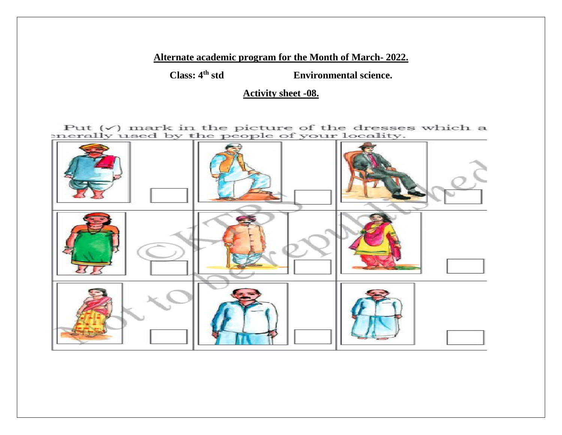**Class: 4th std Environmental science.**

**Activity sheet -08.**

Put  $(\checkmark)$  mark in the picture of the dresses which a enerally used by the people of your locality.

![](_page_13_Picture_5.jpeg)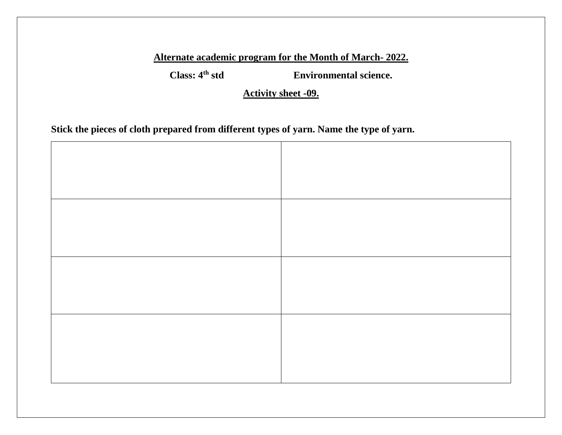**Class: 4th std Environmental science.**

**Activity sheet -09.**

**Stick the pieces of cloth prepared from different types of yarn. Name the type of yarn.**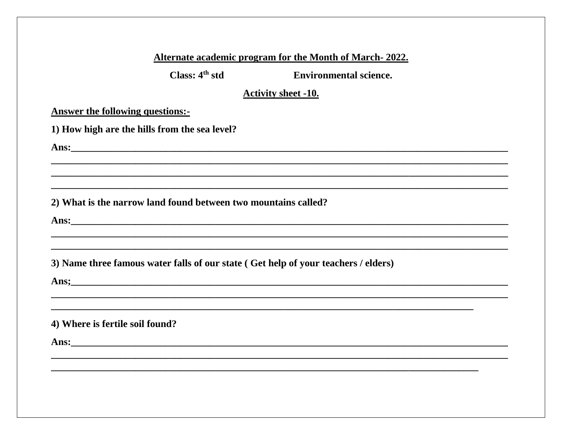Class:  $4<sup>th</sup>$  std

**Environmental science.** 

<u> 1989 - Johann Barbara, martxa alemaniar arg</u>

# **Activity sheet -10.**

# **Answer the following questions:-**

|  |  |  |  |  |  |  | 1) How high are the hills from the sea level? |  |
|--|--|--|--|--|--|--|-----------------------------------------------|--|
|--|--|--|--|--|--|--|-----------------------------------------------|--|

Ans: the contract of the contract of the contract of the contract of the contract of the contract of the contract of the contract of the contract of the contract of the contract of the contract of the contract of the contr

# 2) What is the narrow land found between two mountains called?

Ans: <u>with the contract of the contract of the contract of the contract of the contract of the contract of the contract of the contract of the contract of the contract of the contract of the contract of the contract of the</u>

3) Name three famous water falls of our state (Get help of your teachers / elders)

Ans; 2008. The contract of the contract of the contract of the contract of the contract of the contract of the contract of the contract of the contract of the contract of the contract of the contract of the contract of the

# 4) Where is fertile soil found?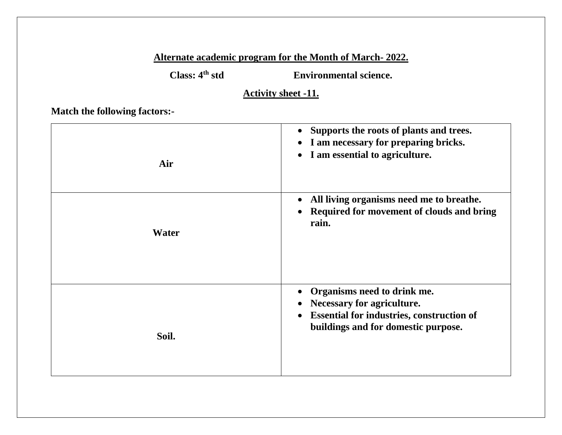**Class: 4th std Environmental science.**

**Activity sheet -11.**

**Match the following factors:-**

| Air   | Supports the roots of plants and trees.<br>$\bullet$<br>I am necessary for preparing bricks.<br>$\bullet$<br>I am essential to agriculture.<br>$\bullet$          |
|-------|-------------------------------------------------------------------------------------------------------------------------------------------------------------------|
| Water | All living organisms need me to breathe.<br>$\bullet$<br>Required for movement of clouds and bring<br>rain.                                                       |
| Soil. | Organisms need to drink me.<br>Necessary for agriculture.<br><b>Essential for industries, construction of</b><br>$\bullet$<br>buildings and for domestic purpose. |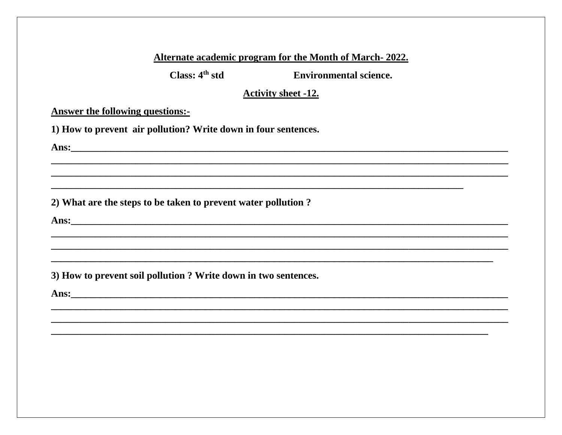Class:  $4<sup>th</sup>$  std

**Environmental science.** 

# **Activity sheet -12.**

<u> 1989 - Johann Stoff, amerikan bestein de stad i stoff for de stad i stoff for de stad i stoff for de stad i s</u>

**Answer the following questions:-**

1) How to prevent air pollution? Write down in four sentences.

Ans: the contract of the contract of the contract of the contract of the contract of the contract of the contract of the contract of the contract of the contract of the contract of the contract of the contract of the contr

2) What are the steps to be taken to prevent water pollution?

Ans: <u>Ansection and the set of the set of the set of the set of the set of the set of the set of the set of the set of the set of the set of the set of the set of the set of the set of the set of the set of the set of the </u>

3) How to prevent soil pollution ? Write down in two sentences.

Ans: <u>2008 - 2008 - 2008 - 2008 - 2008 - 2008 - 2008 - 2008 - 2008 - 2008 - 2008 - 2008 - 2008 - 2008 - 2008 - 2008 - 2008 - 2008 - 2008 - 2008 - 2008 - 2008 - 2008 - 2008 - 2008 - 2008 - 2008 - 2008 - 2008 - 2008 - 2008 -</u>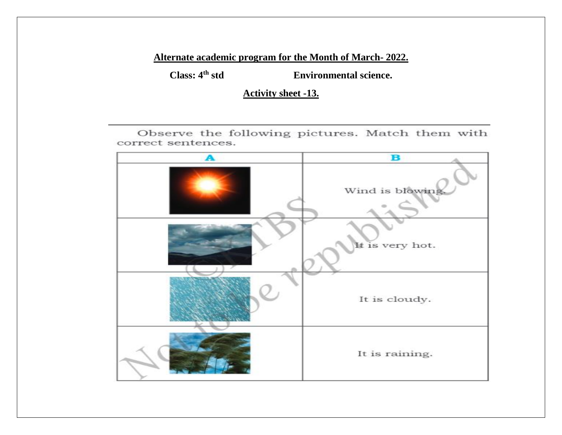**Class: 4th std Environmental science.**

**Activity sheet -13.**

Observe the following pictures. Match them with correct sentences.

![](_page_18_Picture_5.jpeg)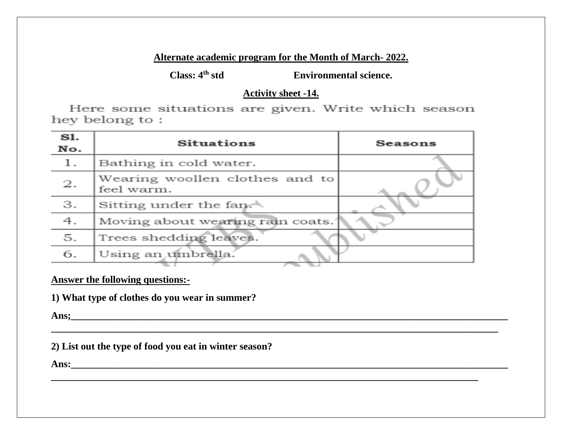**Class: 4th std Environmental science.**

# **Activity sheet -14.**

Here some situations are given. Write which season hey belong to:

| S1.<br>No. | <b>Situations</b>                            | Seasons |
|------------|----------------------------------------------|---------|
| 1.         | Bathing in cold water.                       |         |
| 2.         | Wearing woollen clothes and to<br>feel warm. |         |
| 3.         | Sitting under the fan.                       |         |
| 4.         | Moving about wearing rain coats.             |         |
| 5.         | Trees shedding leaves.                       |         |
| 6.         | Using an umbrella.                           |         |

**\_\_\_\_\_\_\_\_\_\_\_\_\_\_\_\_\_\_\_\_\_\_\_\_\_\_\_\_\_\_\_\_\_\_\_\_\_\_\_\_\_\_\_\_\_\_\_\_\_\_\_\_\_\_\_\_\_\_\_\_\_\_\_\_\_\_\_\_\_\_\_\_\_\_\_\_\_\_\_\_\_\_\_\_\_\_\_\_\_\_**

**\_\_\_\_\_\_\_\_\_\_\_\_\_\_\_\_\_\_\_\_\_\_\_\_\_\_\_\_\_\_\_\_\_\_\_\_\_\_\_\_\_\_\_\_\_\_\_\_\_\_\_\_\_\_\_\_\_\_\_\_\_\_\_\_\_\_\_\_\_\_\_\_\_\_\_\_\_\_\_\_\_\_\_\_\_\_**

**Answer the following questions:-**

**1) What type of clothes do you wear in summer?**

**Ans;\_\_\_\_\_\_\_\_\_\_\_\_\_\_\_\_\_\_\_\_\_\_\_\_\_\_\_\_\_\_\_\_\_\_\_\_\_\_\_\_\_\_\_\_\_\_\_\_\_\_\_\_\_\_\_\_\_\_\_\_\_\_\_\_\_\_\_\_\_\_\_\_\_\_\_\_\_\_\_\_\_\_\_\_\_\_\_\_**

**2) List out the type of food you eat in winter season?**

**Ans:\_\_\_\_\_\_\_\_\_\_\_\_\_\_\_\_\_\_\_\_\_\_\_\_\_\_\_\_\_\_\_\_\_\_\_\_\_\_\_\_\_\_\_\_\_\_\_\_\_\_\_\_\_\_\_\_\_\_\_\_\_\_\_\_\_\_\_\_\_\_\_\_\_\_\_\_\_\_\_\_\_\_\_\_\_\_\_\_**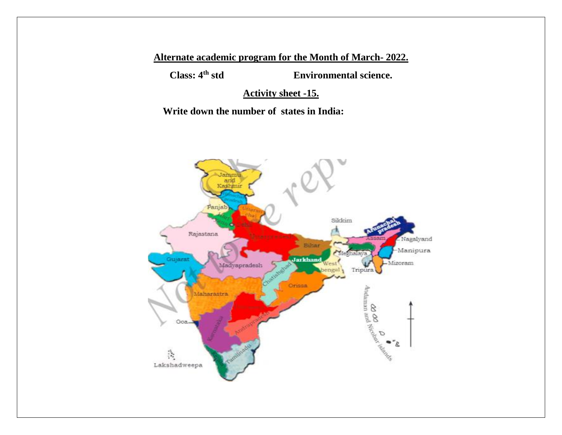**Class: 4th std Environmental science.**

**Activity sheet -15.**

 **Write down the number of states in India:**

![](_page_20_Picture_5.jpeg)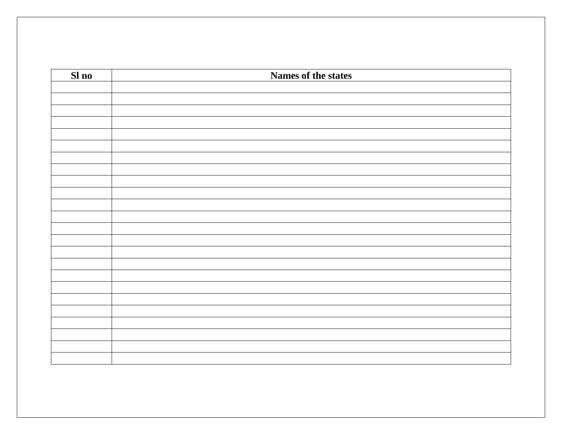| Sl no | Names of the states |
|-------|---------------------|
|       |                     |
|       |                     |
|       |                     |
|       |                     |
|       |                     |
|       |                     |
|       |                     |
|       |                     |
|       |                     |
|       |                     |
|       |                     |
|       |                     |
|       |                     |
|       |                     |
|       |                     |
|       |                     |
|       |                     |
|       |                     |
|       |                     |
|       |                     |
|       |                     |
|       |                     |
|       |                     |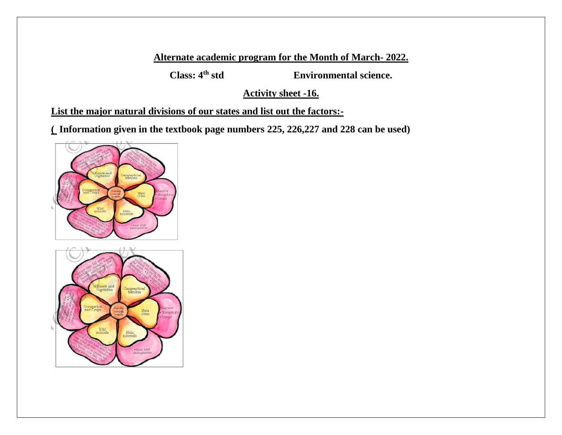**Class: 4th std Environmental science.**

**Activity sheet -16.**

**List the major natural divisions of our states and list out the factors:-**

**( Information given in the textbook page numbers 225, 226,227 and 228 can be used)**

![](_page_22_Figure_6.jpeg)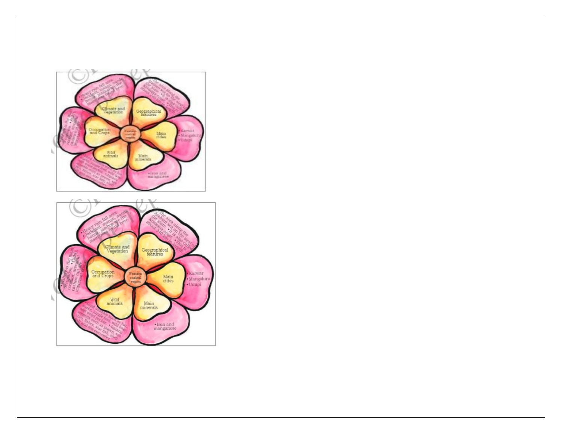![](_page_23_Figure_0.jpeg)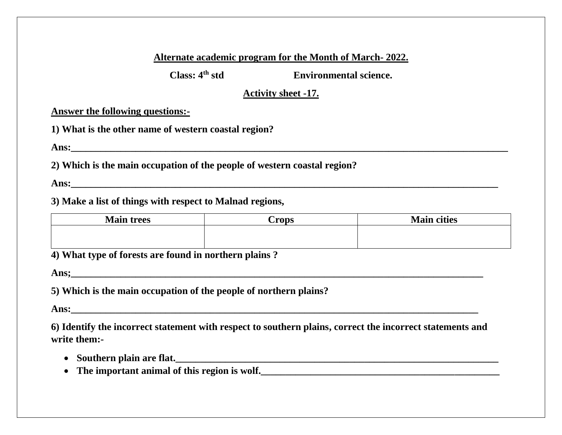**Class: 4th std Environmental science.**

# **Activity sheet -17.**

# **Answer the following questions:-**

**1) What is the other name of western coastal region?**

**Ans:\_\_\_\_\_\_\_\_\_\_\_\_\_\_\_\_\_\_\_\_\_\_\_\_\_\_\_\_\_\_\_\_\_\_\_\_\_\_\_\_\_\_\_\_\_\_\_\_\_\_\_\_\_\_\_\_\_\_\_\_\_\_\_\_\_\_\_\_\_\_\_\_\_\_\_\_\_\_\_\_\_\_\_\_\_\_\_\_**

**2) Which is the main occupation of the people of western coastal region?**

**Ans:** *Ans***:**  *Ans***: <b>***Ans <i>Ans <i>Ans <i>Ans <i>Ans <i>Ans <i>Ans <i>Ans <i>Ans <i>Ans <i>Ans <i>Ans <i>Ans <i>Ans <i>Ans <i>Ans <i>Ans <i>Ans <i>Ans <i>Ans <i>Ans* 

# **3) Make a list of things with respect to Malnad regions,**

| <b>Main trees</b> | $C$ rops | <b>Main cities</b> |
|-------------------|----------|--------------------|
|                   |          |                    |
|                   |          |                    |

**4) What type of forests are found in northern plains ?**

**Ans;\_\_\_\_\_\_\_\_\_\_\_\_\_\_\_\_\_\_\_\_\_\_\_\_\_\_\_\_\_\_\_\_\_\_\_\_\_\_\_\_\_\_\_\_\_\_\_\_\_\_\_\_\_\_\_\_\_\_\_\_\_\_\_\_\_\_\_\_\_\_\_\_\_\_\_\_\_\_\_\_\_\_\_**

**5) Which is the main occupation of the people of northern plains?**

**Ans:\_\_\_\_\_\_\_\_\_\_\_\_\_\_\_\_\_\_\_\_\_\_\_\_\_\_\_\_\_\_\_\_\_\_\_\_\_\_\_\_\_\_\_\_\_\_\_\_\_\_\_\_\_\_\_\_\_\_\_\_\_\_\_\_\_\_\_\_\_\_\_\_\_\_\_\_\_\_\_\_\_\_**

**6) Identify the incorrect statement with respect to southern plains, correct the incorrect statements and write them:-**

- Southern plain are flat.
- The important animal of this region is wolf.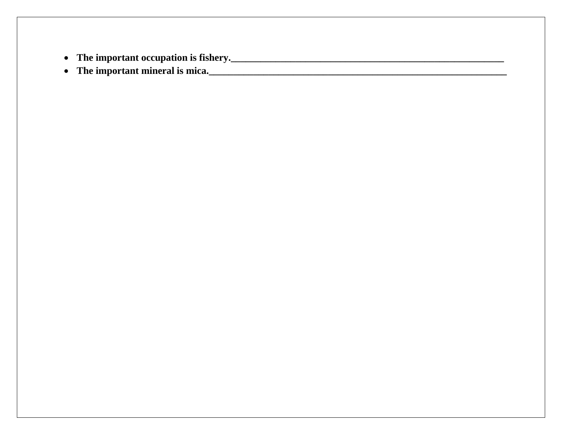- **The important occupation is fishery.\_\_\_\_\_\_\_\_\_\_\_\_\_\_\_\_\_\_\_\_\_\_\_\_\_\_\_\_\_\_\_\_\_\_\_\_\_\_\_\_\_\_\_\_\_\_\_\_\_\_\_\_\_\_\_**
- **The important mineral is mica.\_\_\_\_\_\_\_\_\_\_\_\_\_\_\_\_\_\_\_\_\_\_\_\_\_\_\_\_\_\_\_\_\_\_\_\_\_\_\_\_\_\_\_\_\_\_\_\_\_\_\_\_\_\_\_\_\_\_\_\_**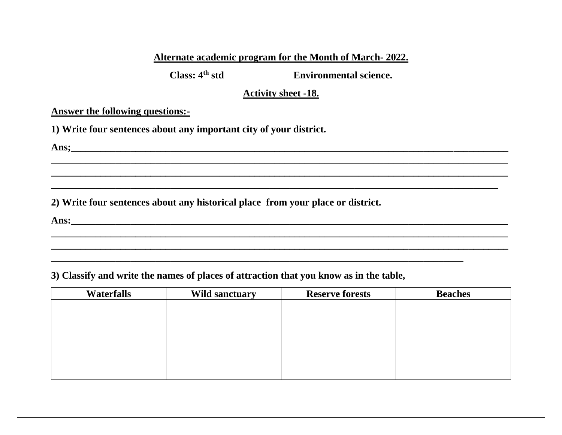**Class: 4th std Environmental science.**

# **Activity sheet -18.**

**\_\_\_\_\_\_\_\_\_\_\_\_\_\_\_\_\_\_\_\_\_\_\_\_\_\_\_\_\_\_\_\_\_\_\_\_\_\_\_\_\_\_\_\_\_\_\_\_\_\_\_\_\_\_\_\_\_\_\_\_\_\_\_\_\_\_\_\_\_\_\_\_\_\_\_\_\_\_\_\_\_\_\_\_\_\_\_\_\_\_\_\_ \_\_\_\_\_\_\_\_\_\_\_\_\_\_\_\_\_\_\_\_\_\_\_\_\_\_\_\_\_\_\_\_\_\_\_\_\_\_\_\_\_\_\_\_\_\_\_\_\_\_\_\_\_\_\_\_\_\_\_\_\_\_\_\_\_\_\_\_\_\_\_\_\_\_\_\_\_\_\_\_\_\_\_\_\_\_\_\_\_\_\_\_ \_\_\_\_\_\_\_\_\_\_\_\_\_\_\_\_\_\_\_\_\_\_\_\_\_\_\_\_\_\_\_\_\_\_\_\_\_\_\_\_\_\_\_\_\_\_\_\_\_\_\_\_\_\_\_\_\_\_\_\_\_\_\_\_\_\_\_\_\_\_\_\_\_\_\_\_\_\_\_\_\_\_\_\_\_\_\_\_\_\_**

**\_\_\_\_\_\_\_\_\_\_\_\_\_\_\_\_\_\_\_\_\_\_\_\_\_\_\_\_\_\_\_\_\_\_\_\_\_\_\_\_\_\_\_\_\_\_\_\_\_\_\_\_\_\_\_\_\_\_\_\_\_\_\_\_\_\_\_\_\_\_\_\_\_\_\_\_\_\_\_\_\_\_\_\_\_\_\_\_\_\_\_\_ \_\_\_\_\_\_\_\_\_\_\_\_\_\_\_\_\_\_\_\_\_\_\_\_\_\_\_\_\_\_\_\_\_\_\_\_\_\_\_\_\_\_\_\_\_\_\_\_\_\_\_\_\_\_\_\_\_\_\_\_\_\_\_\_\_\_\_\_\_\_\_\_\_\_\_\_\_\_\_\_\_\_\_\_\_\_\_\_\_\_\_\_**

**\_\_\_\_\_\_\_\_\_\_\_\_\_\_\_\_\_\_\_\_\_\_\_\_\_\_\_\_\_\_\_\_\_\_\_\_\_\_\_\_\_\_\_\_\_\_\_\_\_\_\_\_\_\_\_\_\_\_\_\_\_\_\_\_\_\_\_\_\_\_\_\_\_\_\_\_\_\_\_\_\_\_\_**

**Answer the following questions:-**

**1) Write four sentences about any important city of your district.**

**Ans;\_\_\_\_\_\_\_\_\_\_\_\_\_\_\_\_\_\_\_\_\_\_\_\_\_\_\_\_\_\_\_\_\_\_\_\_\_\_\_\_\_\_\_\_\_\_\_\_\_\_\_\_\_\_\_\_\_\_\_\_\_\_\_\_\_\_\_\_\_\_\_\_\_\_\_\_\_\_\_\_\_\_\_\_\_\_\_\_**

**2) Write four sentences about any historical place from your place or district.**

**Ans:\_\_\_\_\_\_\_\_\_\_\_\_\_\_\_\_\_\_\_\_\_\_\_\_\_\_\_\_\_\_\_\_\_\_\_\_\_\_\_\_\_\_\_\_\_\_\_\_\_\_\_\_\_\_\_\_\_\_\_\_\_\_\_\_\_\_\_\_\_\_\_\_\_\_\_\_\_\_\_\_\_\_\_\_\_\_\_\_**

**3) Classify and write the names of places of attraction that you know as in the table,**

| <b>Waterfalls</b> | <b>Wild sanctuary</b> | <b>Reserve forests</b> | <b>Beaches</b> |
|-------------------|-----------------------|------------------------|----------------|
|                   |                       |                        |                |
|                   |                       |                        |                |
|                   |                       |                        |                |
|                   |                       |                        |                |
|                   |                       |                        |                |
|                   |                       |                        |                |
|                   |                       |                        |                |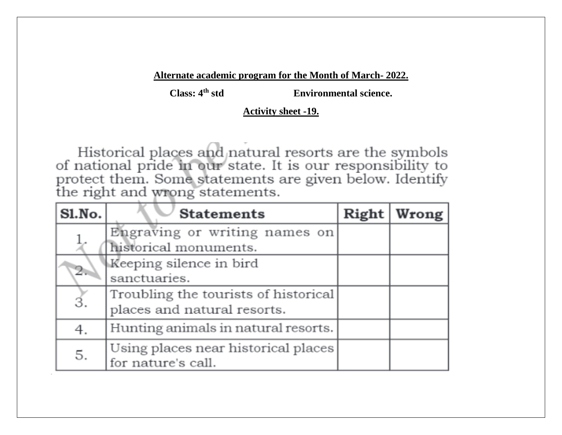**Class: 4th std Environmental science.**

#### **Activity sheet -19.**

Historical places and natural resorts are the symbols of national pride in our state. It is our responsibility to protect them. Some statements are given below. Identify the right and wrong statements.

| Sl.No. | <b>Statements</b>                                                   | Right | Wrong |
|--------|---------------------------------------------------------------------|-------|-------|
|        | Engraving or writing names on<br>historical monuments.              |       |       |
| 2.,    | Keeping silence in bird<br>sanctuaries.                             |       |       |
| 3.     | Troubling the tourists of historical<br>places and natural resorts. |       |       |
| 4.     | Hunting animals in natural resorts.                                 |       |       |
| 5.     | Using places near historical places<br>for nature's call.           |       |       |